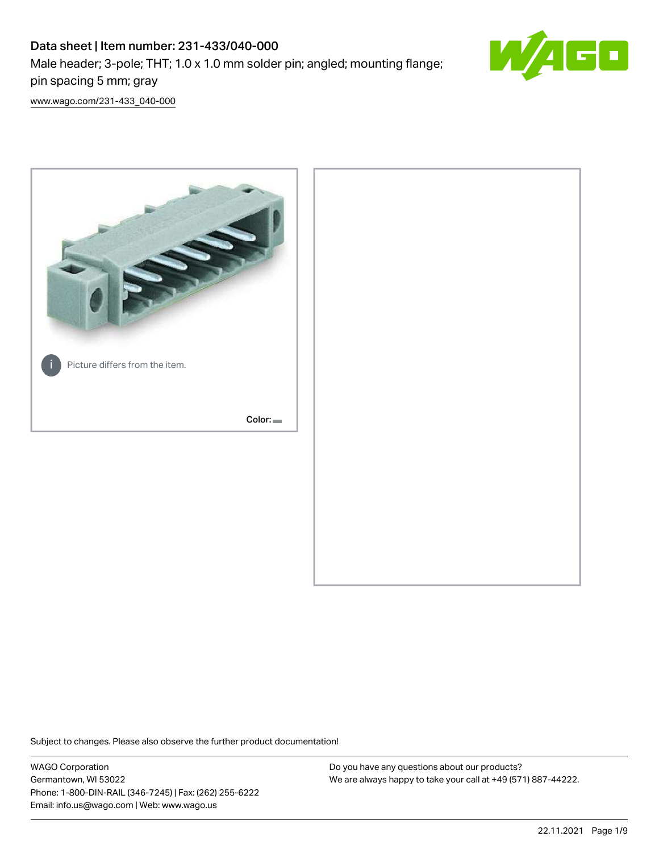# Data sheet | Item number: 231-433/040-000 Male header; 3-pole; THT; 1.0 x 1.0 mm solder pin; angled; mounting flange;



[www.wago.com/231-433\\_040-000](http://www.wago.com/231-433_040-000)

pin spacing 5 mm; gray



Subject to changes. Please also observe the further product documentation!

WAGO Corporation Germantown, WI 53022 Phone: 1-800-DIN-RAIL (346-7245) | Fax: (262) 255-6222 Email: info.us@wago.com | Web: www.wago.us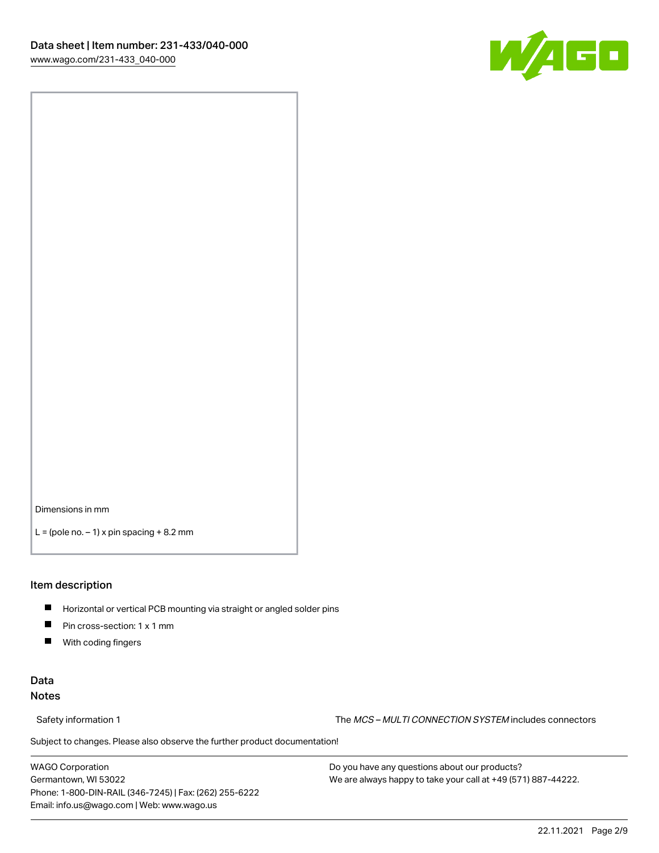

Dimensions in mm

 $L =$  (pole no.  $-1$ ) x pin spacing  $+8.2$  mm

#### Item description

- **Horizontal or vertical PCB mounting via straight or angled solder pins**
- **Pin cross-section: 1 x 1 mm**
- $\blacksquare$ With coding fingers

## Data Notes

Safety information 1 The MCS – MULTI CONNECTION SYSTEM includes connectors

Subject to changes. Please also observe the further product documentation!  $\nu$ 

WAGO Corporation Germantown, WI 53022 Phone: 1-800-DIN-RAIL (346-7245) | Fax: (262) 255-6222 Email: info.us@wago.com | Web: www.wago.us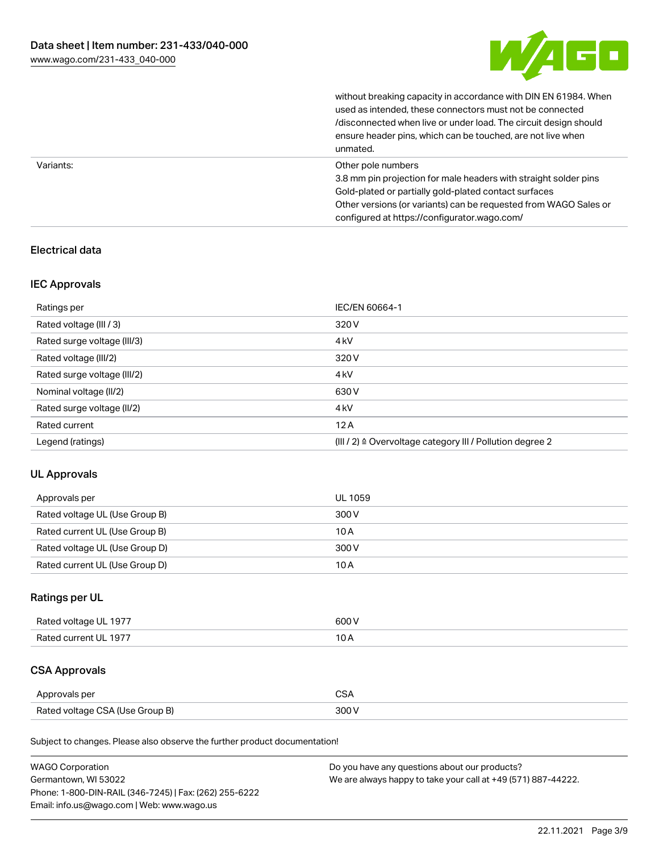

without breaking capacity in accordance with DIN EN 61984. When

|           | used as intended, these connectors must not be connected<br>/disconnected when live or under load. The circuit design should<br>ensure header pins, which can be touched, are not live when<br>unmated.                                                             |
|-----------|---------------------------------------------------------------------------------------------------------------------------------------------------------------------------------------------------------------------------------------------------------------------|
| Variants: | Other pole numbers<br>3.8 mm pin projection for male headers with straight solder pins<br>Gold-plated or partially gold-plated contact surfaces<br>Other versions (or variants) can be requested from WAGO Sales or<br>configured at https://configurator.wago.com/ |

## Electrical data

## IEC Approvals

| Ratings per                 | IEC/EN 60664-1                                            |
|-----------------------------|-----------------------------------------------------------|
| Rated voltage (III / 3)     | 320 V                                                     |
| Rated surge voltage (III/3) | 4 <sub>k</sub> V                                          |
| Rated voltage (III/2)       | 320 V                                                     |
| Rated surge voltage (III/2) | 4 <sub>k</sub> V                                          |
| Nominal voltage (II/2)      | 630 V                                                     |
| Rated surge voltage (II/2)  | 4 <sub>k</sub> V                                          |
| Rated current               | 12A                                                       |
| Legend (ratings)            | (III / 2) ≙ Overvoltage category III / Pollution degree 2 |

## UL Approvals

| Approvals per                  | UL 1059 |
|--------------------------------|---------|
| Rated voltage UL (Use Group B) | 300 V   |
| Rated current UL (Use Group B) | 10 A    |
| Rated voltage UL (Use Group D) | 300 V   |
| Rated current UL (Use Group D) | 10 A    |

## Ratings per UL

| Rated voltage UL 1977 | 600 V |
|-----------------------|-------|
| Rated current UL 1977 |       |

## CSA Approvals

| Approvals per                   | ~~    |
|---------------------------------|-------|
| Rated voltage CSA (Use Group B) | 3UU 1 |

Subject to changes. Please also observe the further product documentation!

| <b>WAGO Corporation</b>                                | Do you have any questions about our products?                 |
|--------------------------------------------------------|---------------------------------------------------------------|
| Germantown, WI 53022                                   | We are always happy to take your call at +49 (571) 887-44222. |
| Phone: 1-800-DIN-RAIL (346-7245)   Fax: (262) 255-6222 |                                                               |
| Email: info.us@wago.com   Web: www.wago.us             |                                                               |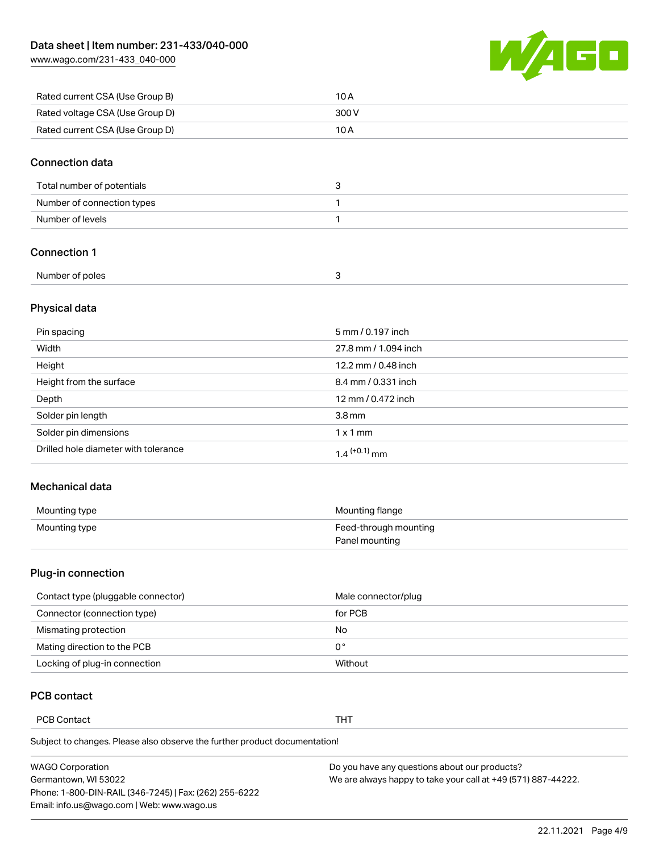[www.wago.com/231-433\\_040-000](http://www.wago.com/231-433_040-000)



| Rated current CSA (Use Group B) | 10 A  |
|---------------------------------|-------|
| Rated voltage CSA (Use Group D) | 300 V |
| Rated current CSA (Use Group D) | 10 A  |

#### Connection data

| Total number of potentials |  |
|----------------------------|--|
| Number of connection types |  |
| Number of levels           |  |

## Connection 1

| Number of poles |  |
|-----------------|--|

## Physical data

| Pin spacing                          | 5 mm / 0.197 inch    |
|--------------------------------------|----------------------|
| Width                                | 27.8 mm / 1.094 inch |
| Height                               | 12.2 mm / 0.48 inch  |
| Height from the surface              | 8.4 mm / 0.331 inch  |
| Depth                                | 12 mm / 0.472 inch   |
| Solder pin length                    | 3.8 <sub>mm</sub>    |
| Solder pin dimensions                | $1 \times 1$ mm      |
| Drilled hole diameter with tolerance | $1.4$ $(+0.1)$ mm    |

#### Mechanical data

| Mounting type | Mounting flange       |
|---------------|-----------------------|
| Mounting type | Feed-through mounting |
|               | Panel mounting        |

## Plug-in connection

| Contact type (pluggable connector) | Male connector/plug |
|------------------------------------|---------------------|
| Connector (connection type)        | for PCB             |
| Mismating protection               | No                  |
| Mating direction to the PCB        | 0°                  |
| Locking of plug-in connection      | Without             |

## PCB contact

PCB Contact THT

Subject to changes. Please also observe the further product documentation!

| <b>WAGO Corporation</b>                                | Do you have any questions about our products?                 |
|--------------------------------------------------------|---------------------------------------------------------------|
| Germantown, WI 53022                                   | We are always happy to take your call at +49 (571) 887-44222. |
| Phone: 1-800-DIN-RAIL (346-7245)   Fax: (262) 255-6222 |                                                               |
| Email: info.us@wago.com   Web: www.wago.us             |                                                               |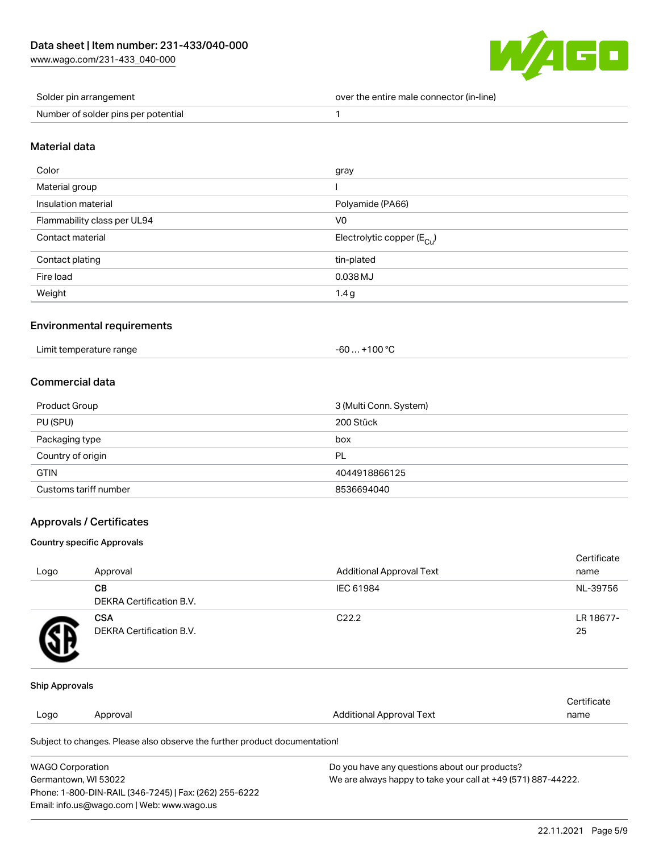[www.wago.com/231-433\\_040-000](http://www.wago.com/231-433_040-000)



| Solder pin arrangement              | over the entire male connector (in-line) |
|-------------------------------------|------------------------------------------|
| Number of solder pins per potential |                                          |

#### Material data

| Color                       | gray                                    |
|-----------------------------|-----------------------------------------|
| Material group              |                                         |
| Insulation material         | Polyamide (PA66)                        |
| Flammability class per UL94 | V <sub>0</sub>                          |
| Contact material            | Electrolytic copper ( $E_{\text{Cu}}$ ) |
| Contact plating             | tin-plated                              |
| Fire load                   | 0.038 MJ                                |
| Weight                      | 1.4g                                    |

## Environmental requirements

| Limit temperature range<br>-60…<br>the contract of the contract of the contract of the contract of the contract of the contract of the contract of | +100 °C |
|----------------------------------------------------------------------------------------------------------------------------------------------------|---------|
|----------------------------------------------------------------------------------------------------------------------------------------------------|---------|

## Commercial data

| <b>Product Group</b>  | 3 (Multi Conn. System) |
|-----------------------|------------------------|
| PU (SPU)              | 200 Stück              |
| Packaging type        | box                    |
| Country of origin     | <b>PL</b>              |
| <b>GTIN</b>           | 4044918866125          |
| Customs tariff number | 8536694040             |

## Approvals / Certificates

#### Country specific Approvals

| Logo | Approval                               | <b>Additional Approval Text</b> | Certificate<br>name |
|------|----------------------------------------|---------------------------------|---------------------|
|      | CВ<br><b>DEKRA Certification B.V.</b>  | IEC 61984                       | NL-39756            |
|      | <b>CSA</b><br>DEKRA Certification B.V. | C <sub>22.2</sub>               | LR 18677-<br>25     |

#### Ship Approvals

| Logo | Approval                                                                   | Additional Approval Text | Certificate<br>name |
|------|----------------------------------------------------------------------------|--------------------------|---------------------|
|      | Subject to changes. Please also observe the further product documentation! |                          |                     |

| <b>WAGO Corporation</b>                                | Do you have any questions about our products?                 |
|--------------------------------------------------------|---------------------------------------------------------------|
| Germantown, WI 53022                                   | We are always happy to take your call at +49 (571) 887-44222. |
| Phone: 1-800-DIN-RAIL (346-7245)   Fax: (262) 255-6222 |                                                               |
| Email: info.us@wago.com   Web: www.wago.us             |                                                               |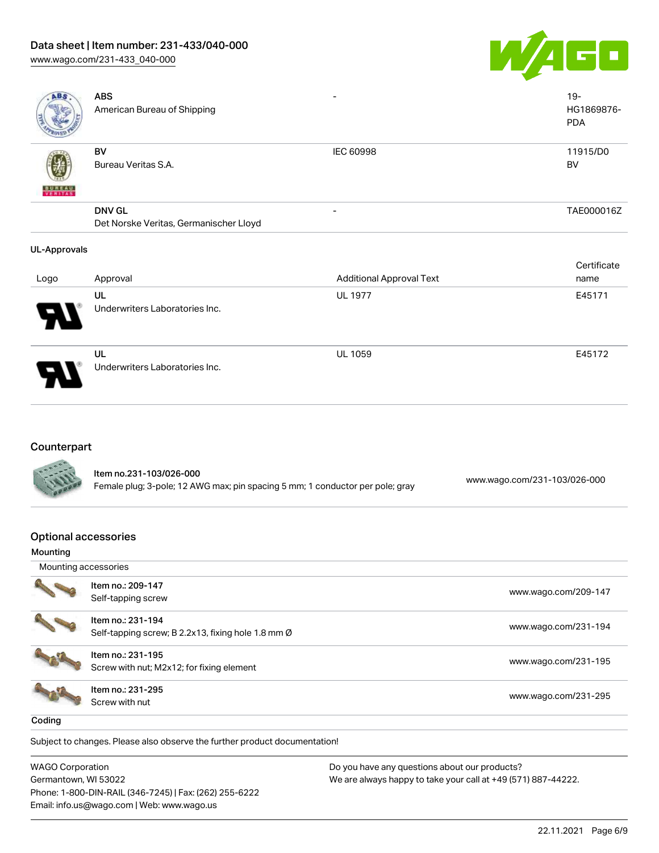## Data sheet | Item number: 231-433/040-000

[www.wago.com/231-433\\_040-000](http://www.wago.com/231-433_040-000)



| ABS                      | <b>ABS</b><br>American Bureau of Shipping |           | $19 -$<br>HG1869876-<br><b>PDA</b> |
|--------------------------|-------------------------------------------|-----------|------------------------------------|
| <b>BUREAU</b><br>VERITAS | BV<br>Bureau Veritas S.A.                 | IEC 60998 | 11915/D0<br><b>BV</b>              |
|                          | <b>DNV GL</b>                             | -         | TAE000016Z                         |
|                          | Det Norske Veritas, Germanischer Lloyd    |           |                                    |
| <b>UL-Approvals</b>      |                                           |           |                                    |

| Logo                                  | Approval                             | <b>Additional Approval Text</b> | Certificate<br>name |
|---------------------------------------|--------------------------------------|---------------------------------|---------------------|
| $\boldsymbol{\theta}$<br>$\mathcal T$ | UL<br>Underwriters Laboratories Inc. | <b>UL 1977</b>                  | E45171              |
| 8                                     | UL<br>Underwriters Laboratories Inc. | <b>UL 1059</b>                  | E45172              |

## **Counterpart**

| <b>CALLED</b> | Item no.231-103/026-000                                                       |                              |  |
|---------------|-------------------------------------------------------------------------------|------------------------------|--|
|               | Female plug; 3-pole; 12 AWG max; pin spacing 5 mm; 1 conductor per pole; gray | www.wago.com/231-103/026-000 |  |

#### Optional accessories

| Mounting             |                                                                         |                      |
|----------------------|-------------------------------------------------------------------------|----------------------|
| Mounting accessories |                                                                         |                      |
|                      | Item no.: 209-147<br>Self-tapping screw                                 | www.wago.com/209-147 |
|                      | Item no.: 231-194<br>Self-tapping screw; B 2.2x13, fixing hole 1.8 mm Ø | www.wago.com/231-194 |
|                      | Item no.: 231-195<br>Screw with nut; M2x12; for fixing element          | www.wago.com/231-195 |
|                      | Item no.: 231-295<br>Screw with nut                                     | www.wago.com/231-295 |
| Coding               |                                                                         |                      |

Subject to changes. Please also observe the further product documentation!

WAGO Corporation Germantown, WI 53022 Phone: 1-800-DIN-RAIL (346-7245) | Fax: (262) 255-6222 Email: info.us@wago.com | Web: www.wago.us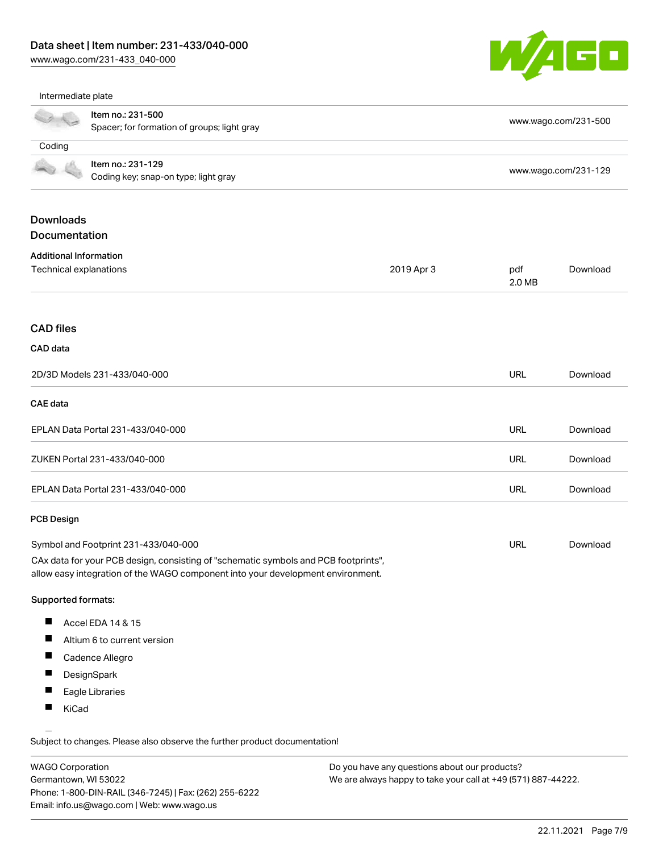Phone: 1-800-DIN-RAIL (346-7245) | Fax: (262) 255-6222

Email: info.us@wago.com | Web: www.wago.us

[www.wago.com/231-433\\_040-000](http://www.wago.com/231-433_040-000)



Intermediate plate

|                                                 | Item no.: 231-500<br>Spacer; for formation of groups; light gray                                                                                                       |            |                                                                                                                | www.wago.com/231-500 |  |
|-------------------------------------------------|------------------------------------------------------------------------------------------------------------------------------------------------------------------------|------------|----------------------------------------------------------------------------------------------------------------|----------------------|--|
| Coding                                          |                                                                                                                                                                        |            |                                                                                                                |                      |  |
|                                                 | Item no.: 231-129<br>Coding key; snap-on type; light gray                                                                                                              |            |                                                                                                                | www.wago.com/231-129 |  |
| <b>Downloads</b><br>Documentation               |                                                                                                                                                                        |            |                                                                                                                |                      |  |
| <b>Additional Information</b>                   |                                                                                                                                                                        |            |                                                                                                                |                      |  |
| Technical explanations                          |                                                                                                                                                                        | 2019 Apr 3 | pdf<br>2.0 MB                                                                                                  | Download             |  |
| <b>CAD files</b>                                |                                                                                                                                                                        |            |                                                                                                                |                      |  |
| CAD data                                        |                                                                                                                                                                        |            |                                                                                                                |                      |  |
|                                                 | 2D/3D Models 231-433/040-000                                                                                                                                           |            | <b>URL</b>                                                                                                     | Download             |  |
| <b>CAE</b> data                                 |                                                                                                                                                                        |            |                                                                                                                |                      |  |
| EPLAN Data Portal 231-433/040-000               |                                                                                                                                                                        |            | <b>URL</b>                                                                                                     | Download             |  |
|                                                 | ZUKEN Portal 231-433/040-000                                                                                                                                           |            | URL                                                                                                            | Download             |  |
|                                                 | EPLAN Data Portal 231-433/040-000                                                                                                                                      |            | <b>URL</b>                                                                                                     | Download             |  |
| <b>PCB Design</b>                               |                                                                                                                                                                        |            |                                                                                                                |                      |  |
| Symbol and Footprint 231-433/040-000            |                                                                                                                                                                        |            | URL                                                                                                            | Download             |  |
|                                                 | CAx data for your PCB design, consisting of "schematic symbols and PCB footprints",<br>allow easy integration of the WAGO component into your development environment. |            |                                                                                                                |                      |  |
| <b>Supported formats:</b>                       |                                                                                                                                                                        |            |                                                                                                                |                      |  |
| ш                                               | Accel EDA 14 & 15                                                                                                                                                      |            |                                                                                                                |                      |  |
|                                                 | Altium 6 to current version                                                                                                                                            |            |                                                                                                                |                      |  |
| п                                               | Cadence Allegro                                                                                                                                                        |            |                                                                                                                |                      |  |
|                                                 | DesignSpark                                                                                                                                                            |            |                                                                                                                |                      |  |
|                                                 | Eagle Libraries                                                                                                                                                        |            |                                                                                                                |                      |  |
| KiCad                                           |                                                                                                                                                                        |            |                                                                                                                |                      |  |
|                                                 | Subject to changes. Please also observe the further product documentation!                                                                                             |            |                                                                                                                |                      |  |
| <b>WAGO Corporation</b><br>Germantown, WI 53022 |                                                                                                                                                                        |            | Do you have any questions about our products?<br>We are always happy to take your call at +49 (571) 887-44222. |                      |  |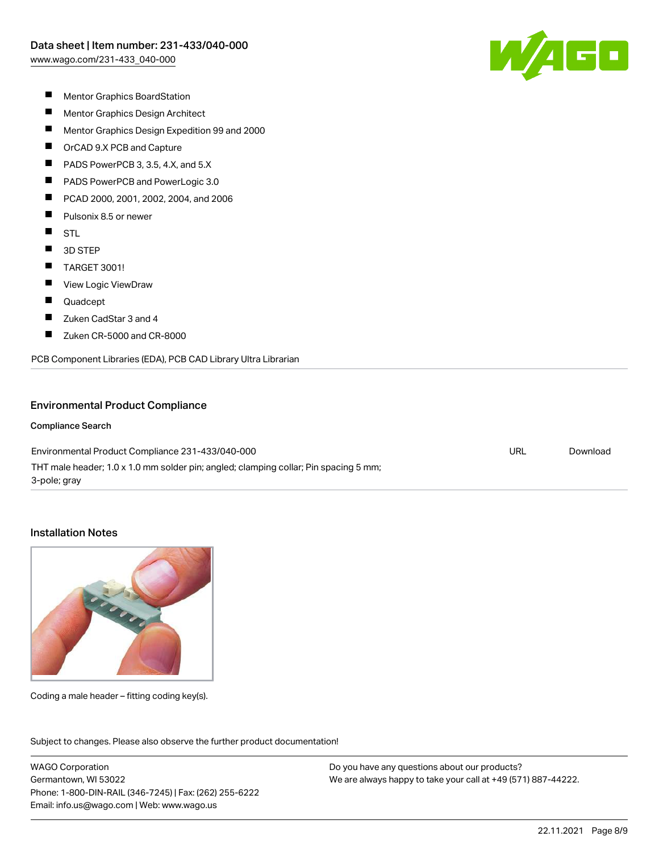$\sqrt{4}$  G  $\Box$ 

- $\blacksquare$ Mentor Graphics BoardStation
- $\blacksquare$ Mentor Graphics Design Architect
- $\blacksquare$ Mentor Graphics Design Expedition 99 and 2000
- $\blacksquare$ OrCAD 9.X PCB and Capture
- П PADS PowerPCB 3, 3.5, 4.X, and 5.X
- П PADS PowerPCB and PowerLogic 3.0
- П PCAD 2000, 2001, 2002, 2004, and 2006
- $\blacksquare$ Pulsonix 8.5 or newer
- $\blacksquare$ **STL**
- $\blacksquare$ 3D STEP
- $\blacksquare$ TARGET 3001!
- $\blacksquare$ View Logic ViewDraw
- $\blacksquare$ Quadcept
- $\blacksquare$ Zuken CadStar 3 and 4
- П Zuken CR-5000 and CR-8000

PCB Component Libraries (EDA), PCB CAD Library Ultra Librarian

#### Environmental Product Compliance

#### Compliance Search

Environmental Product Compliance 231-433/040-000 THT male header; 1.0 x 1.0 mm solder pin; angled; clamping collar; Pin spacing 5 mm; 3-pole; gray URL [Download](https://www.wago.com/global/d/ComplianceLinkMediaContainer_231-433_040-000)

### Installation Notes



Coding a male header – fitting coding key(s).

Subject to changes. Please also observe the further product documentation! Product family

WAGO Corporation Germantown, WI 53022 Phone: 1-800-DIN-RAIL (346-7245) | Fax: (262) 255-6222 Email: info.us@wago.com | Web: www.wago.us